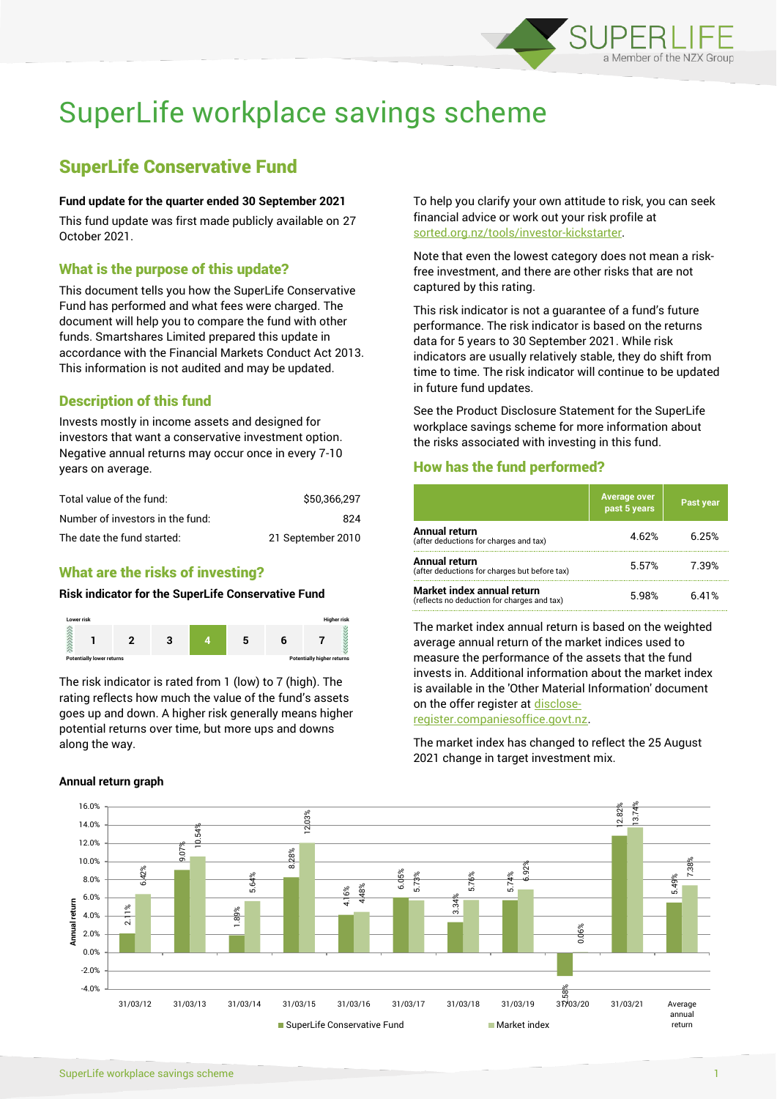

# SuperLife workplace savings scheme

# SuperLife Conservative Fund

#### **Fund update for the quarter ended 30 September 2021**

This fund update was first made publicly available on 27 October 2021.

#### What is the purpose of this update?

This document tells you how the SuperLife Conservative Fund has performed and what fees were charged. The document will help you to compare the fund with other funds. Smartshares Limited prepared this update in accordance with the Financial Markets Conduct Act 2013. This information is not audited and may be updated.

# Description of this fund

Invests mostly in income assets and designed for investors that want a conservative investment option. Negative annual returns may occur once in every 7-10 years on average.

| Total value of the fund:         | \$50,366,297      |
|----------------------------------|-------------------|
| Number of investors in the fund: | 824               |
| The date the fund started:       | 21 September 2010 |

# What are the risks of investing?

#### **Risk indicator for the SuperLife Conservative Fund**



The risk indicator is rated from 1 (low) to 7 (high). The rating reflects how much the value of the fund's assets goes up and down. A higher risk generally means higher potential returns over time, but more ups and downs along the way.

#### **Annual return graph**

To help you clarify your own attitude to risk, you can seek financial advice or work out your risk profile at [sorted.org.nz/tools/investor-kickstarter.](http://www.sorted.org.nz/tools/investor-kickstarter)

Note that even the lowest category does not mean a riskfree investment, and there are other risks that are not captured by this rating.

This risk indicator is not a guarantee of a fund's future performance. The risk indicator is based on the returns data for 5 years to 30 September 2021. While risk indicators are usually relatively stable, they do shift from time to time. The risk indicator will continue to be updated in future fund updates.

See the Product Disclosure Statement for the SuperLife workplace savings scheme for more information about the risks associated with investing in this fund.

#### How has the fund performed?

|                                                                           | <b>Average over</b><br>past 5 years | Past year |
|---------------------------------------------------------------------------|-------------------------------------|-----------|
| Annual return<br>(after deductions for charges and tax)                   | 4.62%                               | 6.25%     |
| Annual return<br>(after deductions for charges but before tax)            | 5.57%                               | 7.39%     |
| Market index annual return<br>(reflects no deduction for charges and tax) | 5.98%                               | 6.41%     |

The market index annual return is based on the weighted average annual return of the market indices used to measure the performance of the assets that the fund invests in. Additional information about the market index is available in the 'Other Material Information' document on the offer register a[t disclose-](http://www.disclose-register.companiesoffice.govt.nz/)

[register.companiesoffice.govt.nz.](http://www.disclose-register.companiesoffice.govt.nz/)

The market index has changed to reflect the 25 August 2021 change in target investment mix.

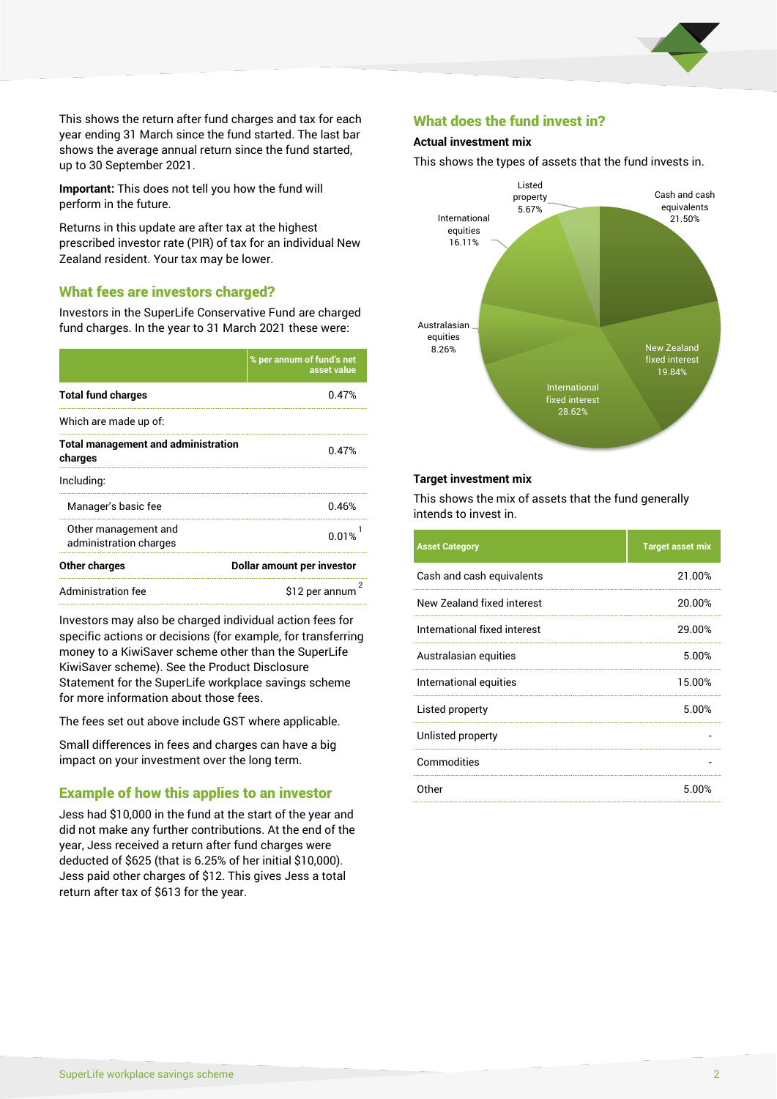

This shows the return after fund charges and tax for each year ending 31 March since the fund started. The last bar shows the average annual return since the fund started, up to 30 September 2021.

**Important:** This does not tell you how the fund will perform in the future.

Returns in this update are after tax at the highest prescribed investor rate (PIR) of tax for an individual New Zealand resident. Your tax may be lower.

# What fees are investors charged?

Investors in the SuperLife Conservative Fund are charged fund charges. In the year to 31 March 2021 these were:

|                                                       | % per annum of fund's net<br>asset value |  |  |
|-------------------------------------------------------|------------------------------------------|--|--|
| <b>Total fund charges</b>                             | 0.47%                                    |  |  |
| Which are made up of:                                 |                                          |  |  |
| <b>Total management and administration</b><br>charges | 0.47%                                    |  |  |
| Including:                                            |                                          |  |  |
| Manager's basic fee                                   | 0.46%                                    |  |  |
| Other management and<br>administration charges        | 0.01%                                    |  |  |
| Other charges                                         | Dollar amount per investor               |  |  |
| Administration fee                                    | \$12 per annum                           |  |  |

Investors may also be charged individual action fees for specific actions or decisions (for example, for transferring money to a KiwiSaver scheme other than the SuperLife KiwiSaver scheme). See the Product Disclosure Statement for the SuperLife workplace savings scheme for more information about those fees.

The fees set out above include GST where applicable.

Small differences in fees and charges can have a big impact on your investment over the long term.

#### Example of how this applies to an investor

Jess had \$10,000 in the fund at the start of the year and did not make any further contributions. At the end of the year, Jess received a return after fund charges were deducted of \$625 (that is 6.25% of her initial \$10,000). Jess paid other charges of \$12. This gives Jess a total return after tax of \$613 for the year.

# What does the fund invest in?

#### **Actual investment mix**

This shows the types of assets that the fund invests in.



#### **Target investment mix**

This shows the mix of assets that the fund generally intends to invest in.

| <b>Asset Category</b>        | <b>Target asset mix</b> |
|------------------------------|-------------------------|
| Cash and cash equivalents    | 21.00%                  |
| New Zealand fixed interest   | 20.00%                  |
| International fixed interest | 29.00%                  |
| Australasian equities        | 5.00%                   |
| International equities       | 15.00%                  |
| Listed property              | 5.00%                   |
| Unlisted property            |                         |
| Commodities                  |                         |
| Other                        | 5.00%                   |